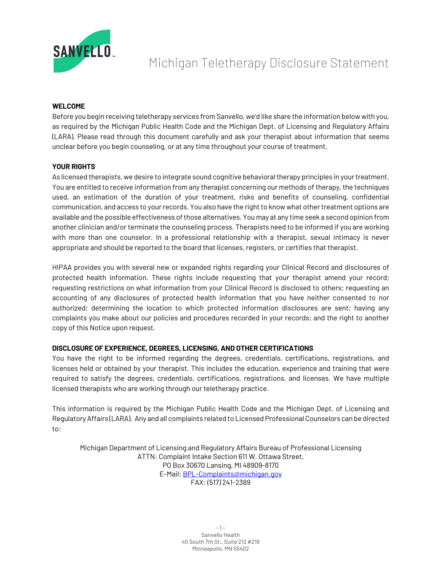

# Michigan Teletherapy Disclosure Statement

## **WELCOME**

Before you begin receiving teletherapy services from Sanvello, we'd like share the information below with you, as required by the Michigan Public Health Code and the Michigan Dept. of Licensing and Regulatory Affairs (LARA). Please read through this document carefully and ask your therapist about information that seems unclear before you begin counseling, or at any time throughout your course of treatment.

## **YOUR RIGHTS**

As licensed therapists, we desire to integrate sound cognitive behavioral therapy principles in your treatment. You are entitled to receive information from any therapist concerning our methods of therapy, the techniques used, an estimation of the duration of your treatment, risks and benefits of counseling, confidential communication, and access to your records. You also have the right to know what other treatment options are available and the possible effectiveness of those alternatives. You may at any time seek a second opinion from another clinician and/or terminate the counseling process. Therapists need to be informed if you are working with more than one counselor. In a professional relationship with a therapist, sexual intimacy is never appropriate and should be reported to the board that licenses, registers, or certifies that therapist.

HIPAA provides you with several new or expanded rights regarding your Clinical Record and disclosures of protected health information. These rights include requesting that your therapist amend your record; requesting restrictions on what information from your Clinical Record is disclosed to others; requesting an accounting of any disclosures of protected health information that you have neither consented to nor authorized; determining the location to which protected information disclosures are sent; having any complaints you make about our policies and procedures recorded in your records; and the right to another copy of this Notice upon request.

# **DISCLOSURE OF EXPERIENCE, DEGREES, LICENSING, AND OTHER CERTIFICATIONS**

You have the right to be informed regarding the degrees, credentials, certifications, registrations, and licenses held or obtained by your therapist. This includes the education, experience and training that were required to satisfy the degrees, credentials, certifications, registrations, and licenses. We have multiple licensed therapists who are working through our teletherapy practice.

This information is required by the Michigan Public Health Code and the Michigan Dept. of Licensing and Regulatory Affairs (LARA). Any and all complaints related to Licensed Professional Counselors can be directed to:

Michigan Department of Licensing and Regulatory Affairs Bureau of Professional Licensing ATTN: Complaint Intake Section 611 W. Ottawa Street, PO Box 30670 Lansing, MI 48909-8170 E-Mail: BPL-Complaints@michigan.gov FAX: (517) 241-2389